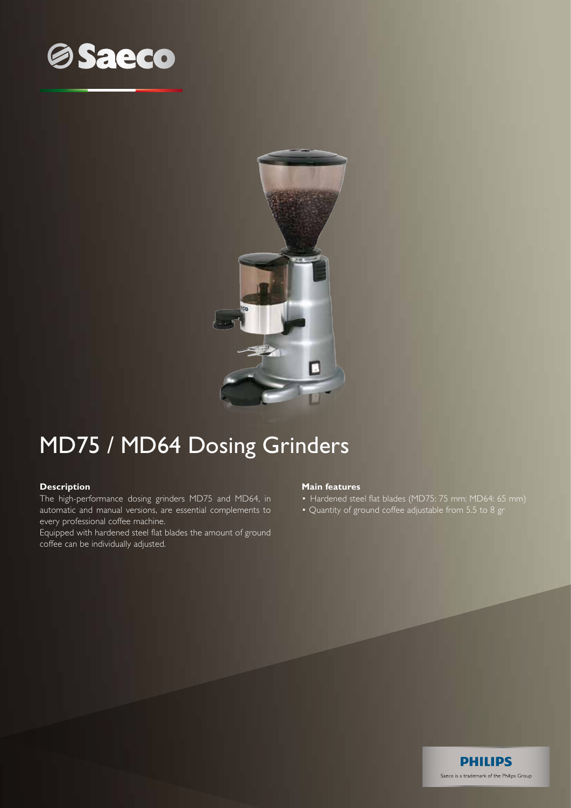



## MD75 / MD64 Dosing Grinders

## **Description**

The high-performance dosing grinders MD75 and MD64, in automatic and manual versions, are essential complements to every professional coffee machine.

Equipped with hardened steel flat blades the amount of ground coffee can be individually adjusted.

## **Main features**

- Hardened steel flat blades (MD75: 75 mm; MD64: 65 mm)
- Quantity of ground coffee adjustable from 5.5 to 8 gr